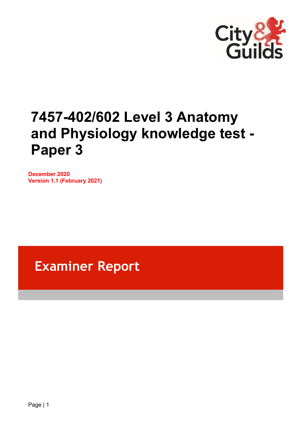

# **7457-402/602 Level 3 Anatomy and Physiology knowledge test - Paper 3**

**December 2020 Version 1.1 (February 2021)**

## **Examiner Report**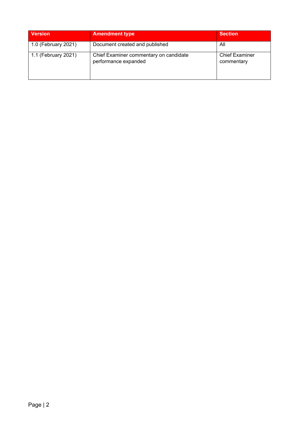| <b>Version</b>      | <b>Amendment type</b>                                          | <b>Section</b>                      |
|---------------------|----------------------------------------------------------------|-------------------------------------|
| 1.0 (February 2021) | Document created and published                                 | All                                 |
| 1.1 (February 2021) | Chief Examiner commentary on candidate<br>performance expanded | <b>Chief Examiner</b><br>commentary |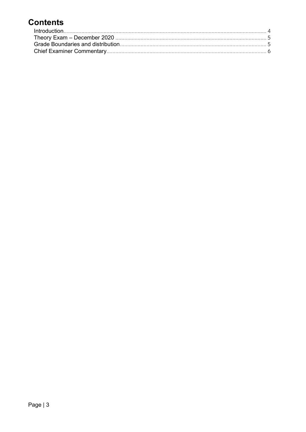### **Contents**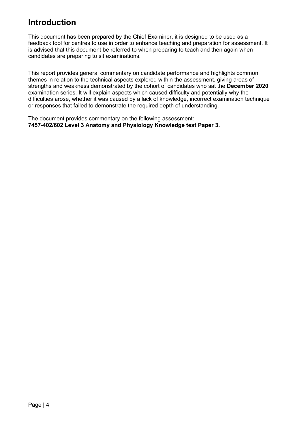### <span id="page-3-0"></span>**Introduction**

This document has been prepared by the Chief Examiner, it is designed to be used as a feedback tool for centres to use in order to enhance teaching and preparation for assessment. It is advised that this document be referred to when preparing to teach and then again when candidates are preparing to sit examinations.

This report provides general commentary on candidate performance and highlights common themes in relation to the technical aspects explored within the assessment, giving areas of strengths and weakness demonstrated by the cohort of candidates who sat the **December 2020** examination series. It will explain aspects which caused difficulty and potentially why the difficulties arose, whether it was caused by a lack of knowledge, incorrect examination technique or responses that failed to demonstrate the required depth of understanding.

The document provides commentary on the following assessment: **7457-402/602 Level 3 Anatomy and Physiology Knowledge test Paper 3.**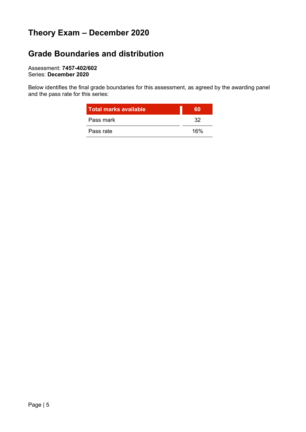### <span id="page-4-0"></span>**Theory Exam – December 2020**

### <span id="page-4-1"></span>**Grade Boundaries and distribution**

Assessment: **7457-402/602** Series: **December 2020**

Below identifies the final grade boundaries for this assessment, as agreed by the awarding panel and the pass rate for this series:

| <b>Total marks available</b> | GΠ  |
|------------------------------|-----|
| Pass mark                    | 32  |
| Pass rate                    | 16% |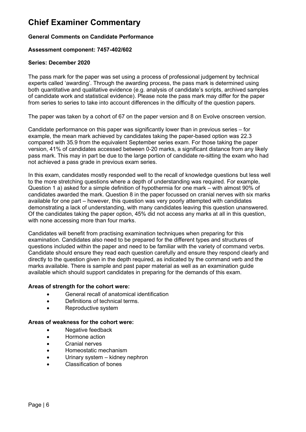### <span id="page-5-0"></span>**Chief Examiner Commentary**

#### **General Comments on Candidate Performance**

#### **Assessment component: 7457-402/602**

#### **Series: December 2020**

The pass mark for the paper was set using a process of professional judgement by technical experts called 'awarding'. Through the awarding process, the pass mark is determined using both quantitative and qualitative evidence (e.g. analysis of candidate's scripts, archived samples of candidate work and statistical evidence). Please note the pass mark may differ for the paper from series to series to take into account differences in the difficulty of the question papers.

The paper was taken by a cohort of 67 on the paper version and 8 on Evolve onscreen version.

Candidate performance on this paper was significantly lower than in previous series – for example, the mean mark achieved by candidates taking the paper-based option was 22.3 compared with 35.9 from the equivalent September series exam. For those taking the paper version, 41% of candidates accessed between 0-20 marks, a significant distance from any likely pass mark. This may in part be due to the large portion of candidate re-sitting the exam who had not achieved a pass grade in previous exam series.

In this exam, candidates mostly responded well to the recall of knowledge questions but less well to the more stretching questions where a depth of understanding was required. For example, Question 1 a) asked for a simple definition of hypothermia for one mark – with almost 90% of candidates awarded the mark. Question 8 in the paper focussed on cranial nerves with six marks available for one part – however, this question was very poorly attempted with candidates demonstrating a lack of understanding, with many candidates leaving this question unanswered. Of the candidates taking the paper option, 45% did not access any marks at all in this question, with none accessing more than four marks.

Candidates will benefit from practising examination techniques when preparing for this examination. Candidates also need to be prepared for the different types and structures of questions included within the paper and need to be familiar with the variety of command verbs. Candidate should ensure they read each question carefully and ensure they respond clearly and directly to the question given in the depth required, as indicated by the command verb and the marks available. There is sample and past paper material as well as an examination guide available which should support candidates in preparing for the demands of this exam.

#### **Areas of strength for the cohort were:**

- General recall of anatomical identification
- Definitions of technical terms.
- Reproductive system

#### **Areas of weakness for the cohort were:**

- Negative feedback
- Hormone action
- Cranial nerves
- Homeostatic mechanism
- Urinary system kidney nephron
- Classification of bones